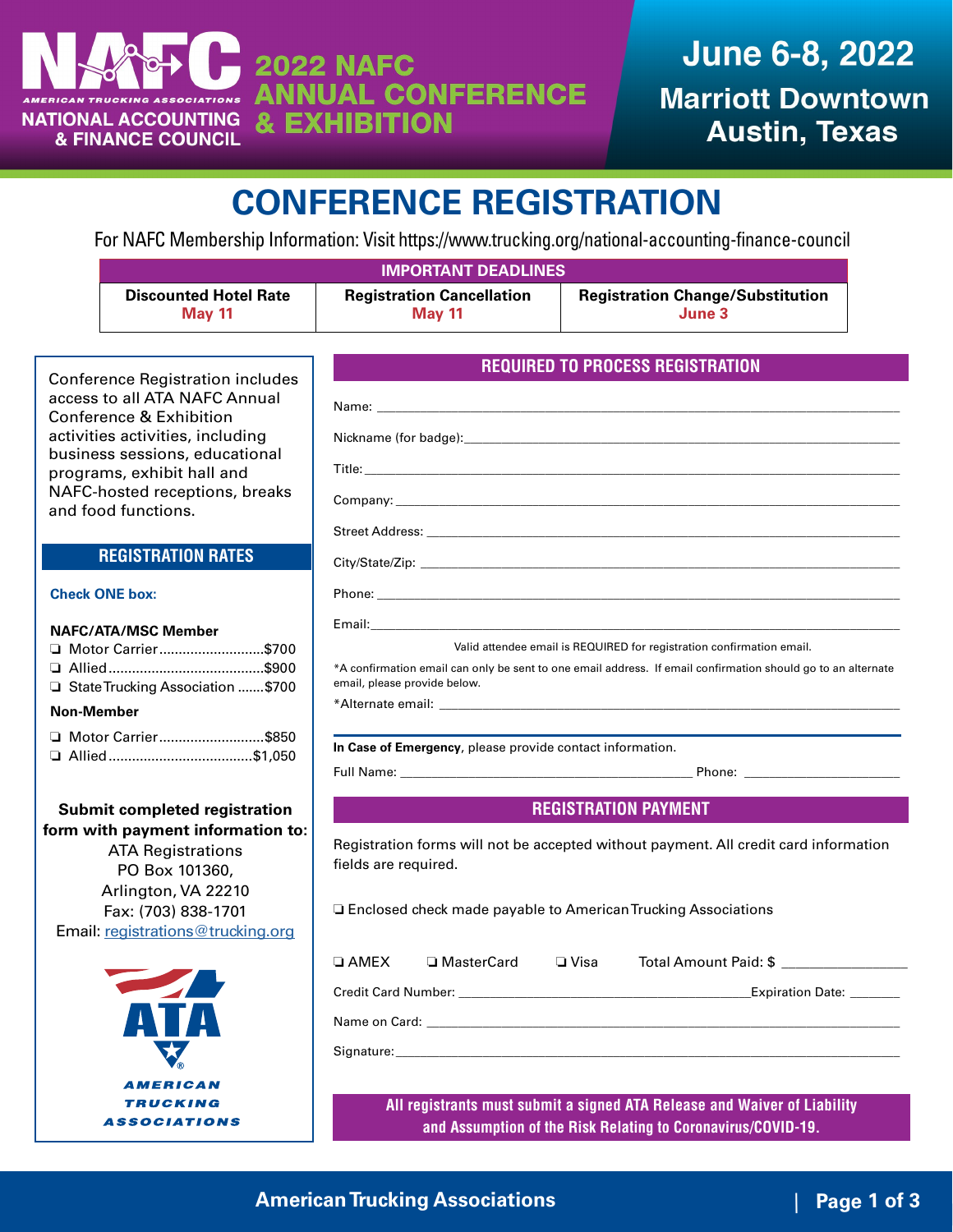

# **CONFERENCE REGISTRATION**

For NAFC Membership Information: Visit<https://www.trucking.org/national-accounting-finance-council>

| <b>IMPORTANT DEADLINES</b>   |                                  |                                         |  |
|------------------------------|----------------------------------|-----------------------------------------|--|
| <b>Discounted Hotel Rate</b> | <b>Registration Cancellation</b> | <b>Registration Change/Substitution</b> |  |
| <b>May 11</b>                | <b>May 11</b>                    | June 3                                  |  |

Conference Registration includes access to all ATA NAFC Annual Conference & Exhibition activities activities, including business sessions, educational programs, exhibit hall and NAFC-hosted receptions, breaks and food functions.

### **REGISTRATION RATES**

### **Check ONE box:**

### **NAFC/ATA/MSC Member**

| □ Motor Carrier\$700               |  |
|------------------------------------|--|
|                                    |  |
| □ State Trucking Association \$700 |  |

### **Non-Member**

| □ Motor Carrier\$850 |  |
|----------------------|--|
| □ Allied \$1,050     |  |

**Submit completed registration form with payment information to:** ATA Registrations PO Box 101360, Arlington, VA 22210 Fax: (703) 838-1701 Email: [registrations@trucking.org](mailto:registrations%40trucking.org?subject=)



|                              | Nickname (for badge): Nickname (and badge) and badge of the state of the state of the state of the state of the state of the state of the state of the state of the state of the state of the state of the state of the state       |
|------------------------------|-------------------------------------------------------------------------------------------------------------------------------------------------------------------------------------------------------------------------------------|
|                              |                                                                                                                                                                                                                                     |
|                              |                                                                                                                                                                                                                                     |
|                              |                                                                                                                                                                                                                                     |
|                              | City/State/Zip: example of the state of the state of the state of the state of the state of the state of the state of the state of the state of the state of the state of the state of the state of the state of the state of       |
|                              |                                                                                                                                                                                                                                     |
|                              | Email: <b>Email:</b> All and the contract of the contract of the contract of the contract of the contract of the contract of the contract of the contract of the contract of the contract of the contract of the contract of the co |
|                              | Valid attendee email is REQUIRED for registration confirmation email.                                                                                                                                                               |
| email, please provide below. | *A confirmation email can only be sent to one email address. If email confirmation should go to an alternate                                                                                                                        |
|                              | *Alternate email: the contract of the contract of the contract of the contract of the contract of the contract of the contract of the contract of the contract of the contract of the contract of the contract of the contract      |
|                              |                                                                                                                                                                                                                                     |
|                              | In Case of Emergency, please provide contact information.                                                                                                                                                                           |
|                              |                                                                                                                                                                                                                                     |
|                              |                                                                                                                                                                                                                                     |
|                              | <b>REGISTRATION PAYMENT</b>                                                                                                                                                                                                         |
|                              |                                                                                                                                                                                                                                     |
|                              | Registration forms will not be accepted without payment. All credit card information                                                                                                                                                |
| fields are required.         |                                                                                                                                                                                                                                     |
|                              |                                                                                                                                                                                                                                     |
|                              | □ Enclosed check made payable to American Trucking Associations                                                                                                                                                                     |
|                              |                                                                                                                                                                                                                                     |
| $\square$ AMEX               | □ MasterCard □ Visa Total Amount Paid: \$ _________________                                                                                                                                                                         |
|                              | Credit Card Number: University of Credit Card Number: University of Credit Card Number: University of Credit C                                                                                                                      |
|                              |                                                                                                                                                                                                                                     |
|                              |                                                                                                                                                                                                                                     |

**REQUIRED TO PROCESS REGISTRATION**

**and Assumption of the Risk Relating to Coronavirus/COVID-19.**

### | **Page 1 of 3 American Trucking Associations**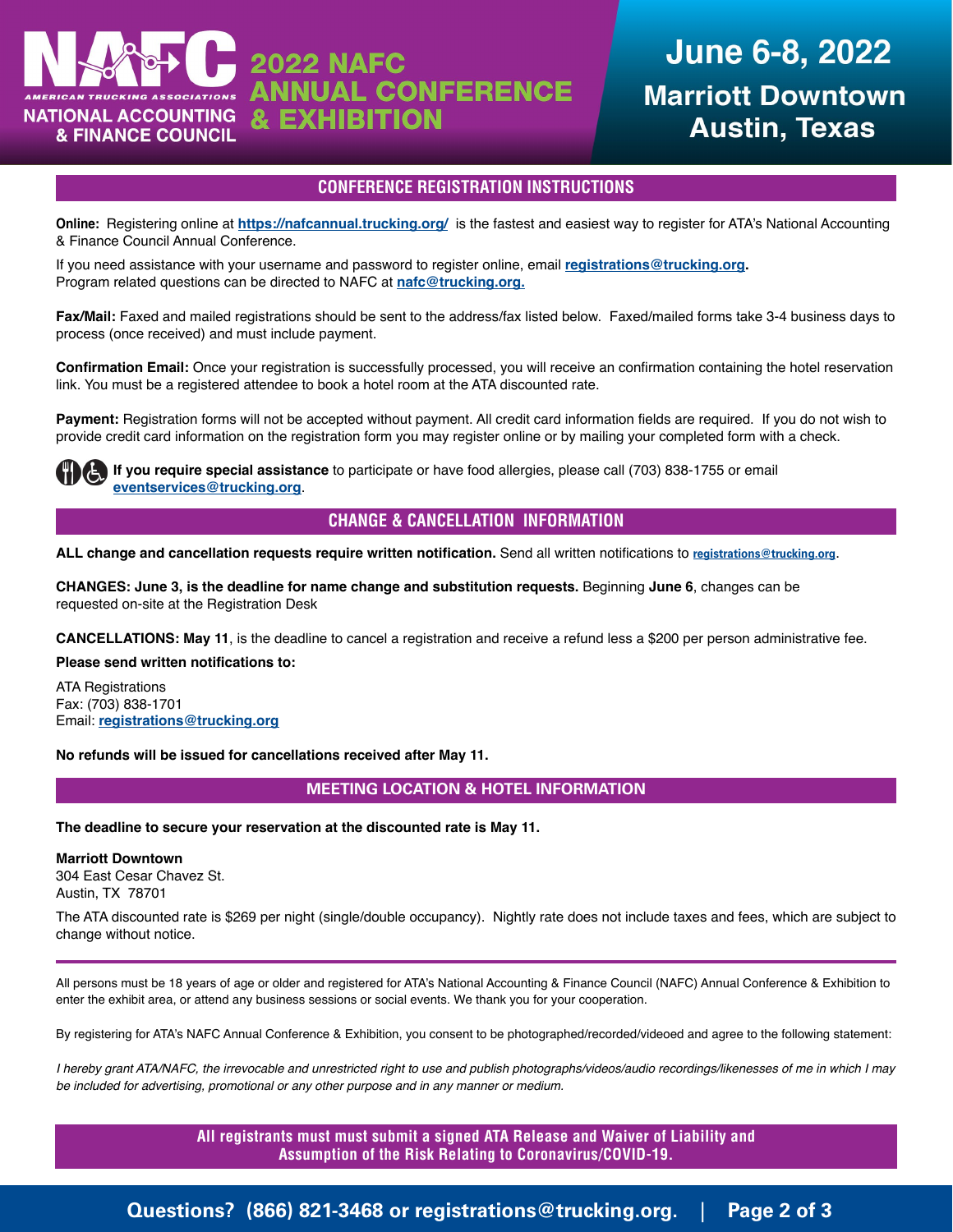

## **June 6-8, 2022 Marriott Downtown Austin, Texas**

### **CONFERENCE REGISTRATION INSTRUCTIONS**

**Online:** Registering online at **<https://nafcannual.trucking.org/>** is the fastest and easiest way to register for ATA's National Accounting & Finance Council Annual Conference.

If you need assistance with your username and password to register online, email **[registrations@trucking.org.](mailto:registrations%40trucking.org?subject=)** Program related questions can be directed to NAFC at **[nafc@trucking.org.](mailto:nafc%40trucking.org?subject=)**

**Fax/Mail:** Faxed and mailed registrations should be sent to the address/fax listed below. Faxed/mailed forms take 3-4 business days to process (once received) and must include payment.

**Confirmation Email:** Once your registration is successfully processed, you will receive an confirmation containing the hotel reservation link. You must be a registered attendee to book a hotel room at the ATA discounted rate.

**Payment:** Registration forms will not be accepted without payment. All credit card information fields are required. If you do not wish to provide credit card information on the registration form you may register online or by mailing your completed form with a check.

**If you require special assistance** to participate or have food allergies, please call (703) 838-1755 or email **eventservices@trucking.org**.

### **CHANGE & CANCELLATION INFORMATION**

ALL change and cancellation requests require written notification. Send all written notifications to [registrations@trucking.org](mailto:registrations%40trucking.org?subject=).

**CHANGES: June 3, is the deadline for name change and substitution requests.** Beginning **June 6**, changes can be requested on-site at the Registration Desk

**CANCELLATIONS: May 11**, is the deadline to cancel a registration and receive a refund less a \$200 per person administrative fee.

**Please send written notifications to:**

ATA Registrations Fax: (703) 838-1701 Email: **[registrations@trucking.org](mailto:registrations%40trucking.org?subject=)**

**No refunds will be issued for cancellations received after May 11.**

### **MEETING LOCATION & HOTEL INFORMATION**

**The deadline to secure your reservation at the discounted rate is May 11.**

#### **Marriott Downtown**

304 East Cesar Chavez St. Austin, TX 78701

The ATA discounted rate is \$269 per night (single/double occupancy). Nightly rate does not include taxes and fees, which are subject to change without notice.

All persons must be 18 years of age or older and registered for ATA's National Accounting & Finance Council (NAFC) Annual Conference & Exhibition to enter the exhibit area, or attend any business sessions or social events. We thank you for your cooperation.

By registering for ATA's NAFC Annual Conference & Exhibition, you consent to be photographed/recorded/videoed and agree to the following statement:

*I hereby grant ATA/NAFC, the irrevocable and unrestricted right to use and publish photographs/videos/audio recordings/likenesses of me in which I may be included for advertising, promotional or any other purpose and in any manner or medium.*

> **All registrants must must submit a signed ATA Release and Waiver of Liability and Assumption of the Risk Relating to Coronavirus/COVID-19.**